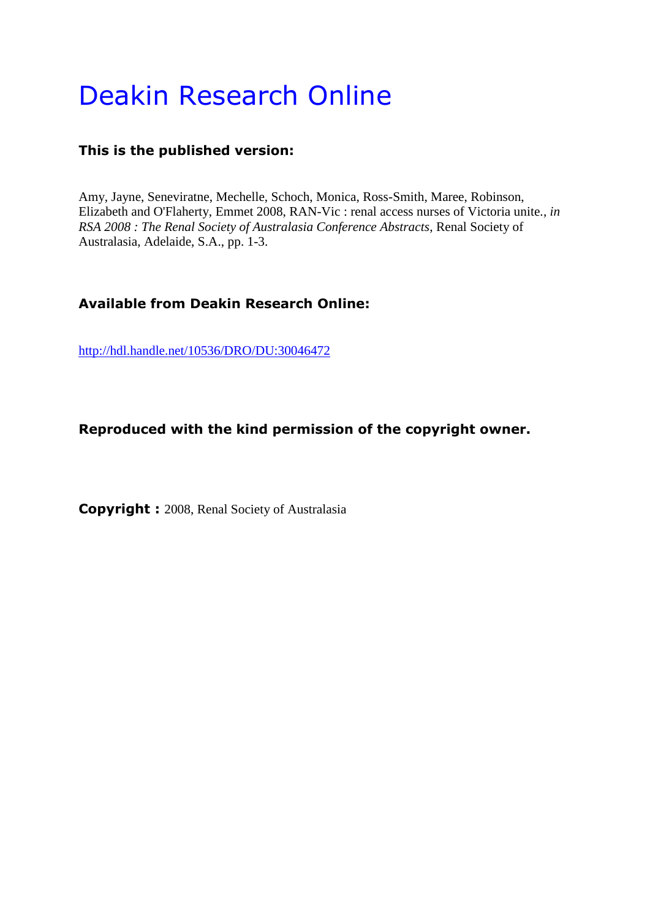# Deakin Research Online

### **This is the published version:**

Amy, Jayne, Seneviratne, Mechelle, Schoch, Monica, Ross-Smith, Maree, Robinson, Elizabeth and O'Flaherty, Emmet 2008, RAN-Vic : renal access nurses of Victoria unite.*, in RSA 2008 : The Renal Society of Australasia Conference Abstracts*, Renal Society of Australasia, Adelaide, S.A., pp. 1-3.

### **Available from Deakin Research Online:**

<http://hdl.handle.net/10536/DRO/DU:30046472>

#### **Reproduced with the kind permission of the copyright owner.**

**Copyright :** 2008, Renal Society of Australasia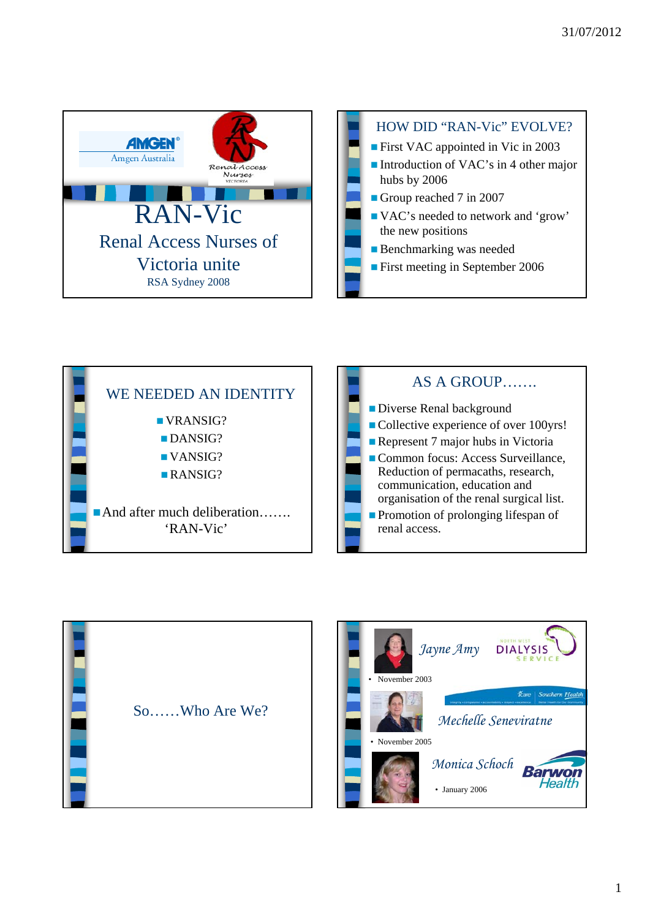





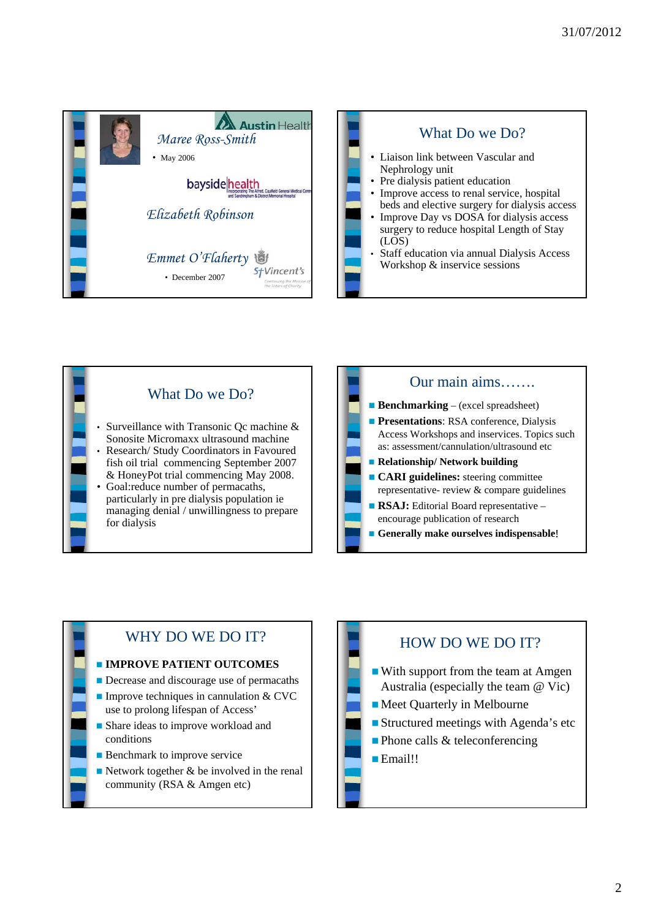







## WHY DO WE DO IT?

#### **IMPROVE PATIENT OUTCOMES**

- **Decrease and discourage use of permacaths**
- Improve techniques in cannulation  $&$  CVC use to prolong lifespan of Access'
- Share ideas to improve workload and conditions
- **Benchmark to improve service**
- Network together  $\&$  be involved in the renal community (RSA & Amgen etc)